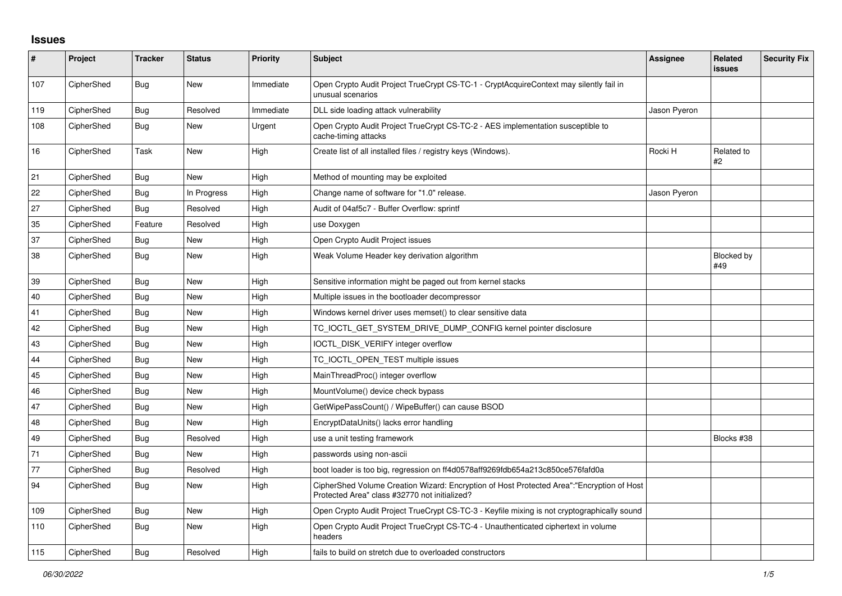## **Issues**

| $\vert$ # | Project    | <b>Tracker</b> | <b>Status</b> | <b>Priority</b> | <b>Subject</b>                                                                                                                             | <b>Assignee</b> | <b>Related</b><br><b>issues</b> | <b>Security Fix</b> |
|-----------|------------|----------------|---------------|-----------------|--------------------------------------------------------------------------------------------------------------------------------------------|-----------------|---------------------------------|---------------------|
| 107       | CipherShed | Bug            | New           | Immediate       | Open Crypto Audit Project TrueCrypt CS-TC-1 - CryptAcquireContext may silently fail in<br>unusual scenarios                                |                 |                                 |                     |
| 119       | CipherShed | Bug            | Resolved      | Immediate       | DLL side loading attack vulnerability                                                                                                      | Jason Pyeron    |                                 |                     |
| 108       | CipherShed | Bug            | New           | Urgent          | Open Crypto Audit Project TrueCrypt CS-TC-2 - AES implementation susceptible to<br>cache-timing attacks                                    |                 |                                 |                     |
| 16        | CipherShed | Task           | New           | High            | Create list of all installed files / registry keys (Windows).                                                                              | Rocki H         | Related to<br>#2                |                     |
| 21        | CipherShed | <b>Bug</b>     | <b>New</b>    | High            | Method of mounting may be exploited                                                                                                        |                 |                                 |                     |
| 22        | CipherShed | <b>Bug</b>     | In Progress   | High            | Change name of software for "1.0" release.                                                                                                 | Jason Pyeron    |                                 |                     |
| 27        | CipherShed | Bug            | Resolved      | High            | Audit of 04af5c7 - Buffer Overflow: sprintf                                                                                                |                 |                                 |                     |
| 35        | CipherShed | Feature        | Resolved      | High            | use Doxygen                                                                                                                                |                 |                                 |                     |
| 37        | CipherShed | Bug            | <b>New</b>    | High            | Open Crypto Audit Project issues                                                                                                           |                 |                                 |                     |
| 38        | CipherShed | Bug            | New           | High            | Weak Volume Header key derivation algorithm                                                                                                |                 | Blocked by<br>#49               |                     |
| 39        | CipherShed | Bug            | New           | High            | Sensitive information might be paged out from kernel stacks                                                                                |                 |                                 |                     |
| 40        | CipherShed | <b>Bug</b>     | <b>New</b>    | High            | Multiple issues in the bootloader decompressor                                                                                             |                 |                                 |                     |
| 41        | CipherShed | Bug            | <b>New</b>    | High            | Windows kernel driver uses memset() to clear sensitive data                                                                                |                 |                                 |                     |
| 42        | CipherShed | Bug            | <b>New</b>    | High            | TC IOCTL GET SYSTEM DRIVE DUMP CONFIG kernel pointer disclosure                                                                            |                 |                                 |                     |
| 43        | CipherShed | Bug            | New           | High            | IOCTL DISK VERIFY integer overflow                                                                                                         |                 |                                 |                     |
| 44        | CipherShed | <b>Bug</b>     | <b>New</b>    | High            | TC_IOCTL_OPEN_TEST multiple issues                                                                                                         |                 |                                 |                     |
| 45        | CipherShed | <b>Bug</b>     | <b>New</b>    | High            | MainThreadProc() integer overflow                                                                                                          |                 |                                 |                     |
| 46        | CipherShed | Bug            | New           | High            | MountVolume() device check bypass                                                                                                          |                 |                                 |                     |
| 47        | CipherShed | Bug            | New           | High            | GetWipePassCount() / WipeBuffer() can cause BSOD                                                                                           |                 |                                 |                     |
| 48        | CipherShed | Bug            | <b>New</b>    | High            | EncryptDataUnits() lacks error handling                                                                                                    |                 |                                 |                     |
| 49        | CipherShed | <b>Bug</b>     | Resolved      | High            | use a unit testing framework                                                                                                               |                 | Blocks #38                      |                     |
| 71        | CipherShed | <b>Bug</b>     | <b>New</b>    | High            | passwords using non-ascii                                                                                                                  |                 |                                 |                     |
| 77        | CipherShed | Bug            | Resolved      | High            | boot loader is too big, regression on ff4d0578aff9269fdb654a213c850ce576fafd0a                                                             |                 |                                 |                     |
| 94        | CipherShed | Bug            | <b>New</b>    | High            | CipherShed Volume Creation Wizard: Encryption of Host Protected Area":"Encryption of Host<br>Protected Area" class #32770 not initialized? |                 |                                 |                     |
| 109       | CipherShed | <b>Bug</b>     | <b>New</b>    | High            | Open Crypto Audit Project TrueCrypt CS-TC-3 - Keyfile mixing is not cryptographically sound                                                |                 |                                 |                     |
| 110       | CipherShed | <b>Bug</b>     | New           | High            | Open Crypto Audit Project TrueCrypt CS-TC-4 - Unauthenticated ciphertext in volume<br>headers                                              |                 |                                 |                     |
| 115       | CipherShed | Bug            | Resolved      | High            | fails to build on stretch due to overloaded constructors                                                                                   |                 |                                 |                     |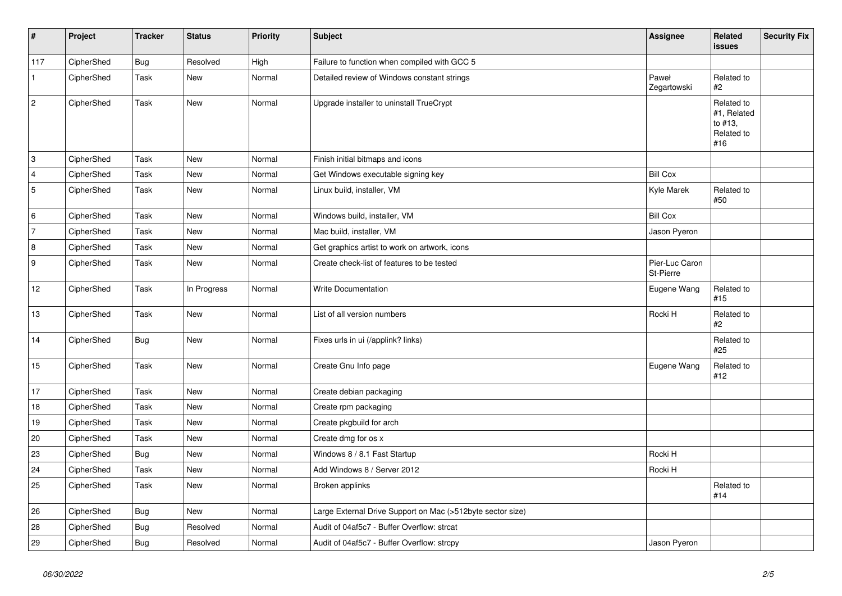| $\vert$ #      | Project    | <b>Tracker</b> | <b>Status</b> | <b>Priority</b> | Subject                                                    | <b>Assignee</b>             | <b>Related</b><br>issues                                  | <b>Security Fix</b> |
|----------------|------------|----------------|---------------|-----------------|------------------------------------------------------------|-----------------------------|-----------------------------------------------------------|---------------------|
| 117            | CipherShed | <b>Bug</b>     | Resolved      | High            | Failure to function when compiled with GCC 5               |                             |                                                           |                     |
| $\mathbf{1}$   | CipherShed | Task           | New           | Normal          | Detailed review of Windows constant strings                | Paweł<br>Zegartowski        | Related to<br>#2                                          |                     |
| 2              | CipherShed | Task           | New           | Normal          | Upgrade installer to uninstall TrueCrypt                   |                             | Related to<br>#1, Related<br>to #13,<br>Related to<br>#16 |                     |
| 3              | CipherShed | Task           | <b>New</b>    | Normal          | Finish initial bitmaps and icons                           |                             |                                                           |                     |
| 4              | CipherShed | Task           | <b>New</b>    | Normal          | Get Windows executable signing key                         | <b>Bill Cox</b>             |                                                           |                     |
| 5              | CipherShed | Task           | New           | Normal          | Linux build, installer, VM                                 | Kyle Marek                  | Related to<br>#50                                         |                     |
| 6              | CipherShed | Task           | New           | Normal          | Windows build, installer, VM                               | <b>Bill Cox</b>             |                                                           |                     |
| 7              | CipherShed | Task           | <b>New</b>    | Normal          | Mac build, installer, VM                                   | Jason Pyeron                |                                                           |                     |
| $\overline{8}$ | CipherShed | Task           | New           | Normal          | Get graphics artist to work on artwork, icons              |                             |                                                           |                     |
| 9              | CipherShed | Task           | New           | Normal          | Create check-list of features to be tested                 | Pier-Luc Caron<br>St-Pierre |                                                           |                     |
| $12$           | CipherShed | Task           | In Progress   | Normal          | Write Documentation                                        | Eugene Wang                 | Related to<br>#15                                         |                     |
| 13             | CipherShed | Task           | New           | Normal          | List of all version numbers                                | Rocki H                     | Related to<br>#2                                          |                     |
| 14             | CipherShed | Bug            | New           | Normal          | Fixes urls in ui (/applink? links)                         |                             | Related to<br>#25                                         |                     |
| 15             | CipherShed | Task           | New           | Normal          | Create Gnu Info page                                       | Eugene Wang                 | Related to<br>#12                                         |                     |
| 17             | CipherShed | Task           | <b>New</b>    | Normal          | Create debian packaging                                    |                             |                                                           |                     |
| 18             | CipherShed | Task           | New           | Normal          | Create rpm packaging                                       |                             |                                                           |                     |
| 19             | CipherShed | Task           | <b>New</b>    | Normal          | Create pkgbuild for arch                                   |                             |                                                           |                     |
| 20             | CipherShed | Task           | New           | Normal          | Create dmg for os x                                        |                             |                                                           |                     |
| 23             | CipherShed | Bug            | <b>New</b>    | Normal          | Windows 8 / 8.1 Fast Startup                               | Rocki H                     |                                                           |                     |
| 24             | CipherShed | Task           | New           | Normal          | Add Windows 8 / Server 2012                                | Rocki H                     |                                                           |                     |
| 25             | CipherShed | Task           | New           | Normal          | Broken applinks                                            |                             | Related to<br>#14                                         |                     |
| 26             | CipherShed | <b>Bug</b>     | <b>New</b>    | Normal          | Large External Drive Support on Mac (>512byte sector size) |                             |                                                           |                     |
| 28             | CipherShed | <b>Bug</b>     | Resolved      | Normal          | Audit of 04af5c7 - Buffer Overflow: strcat                 |                             |                                                           |                     |
| 29             | CipherShed | <b>Bug</b>     | Resolved      | Normal          | Audit of 04af5c7 - Buffer Overflow: strcpy                 | Jason Pyeron                |                                                           |                     |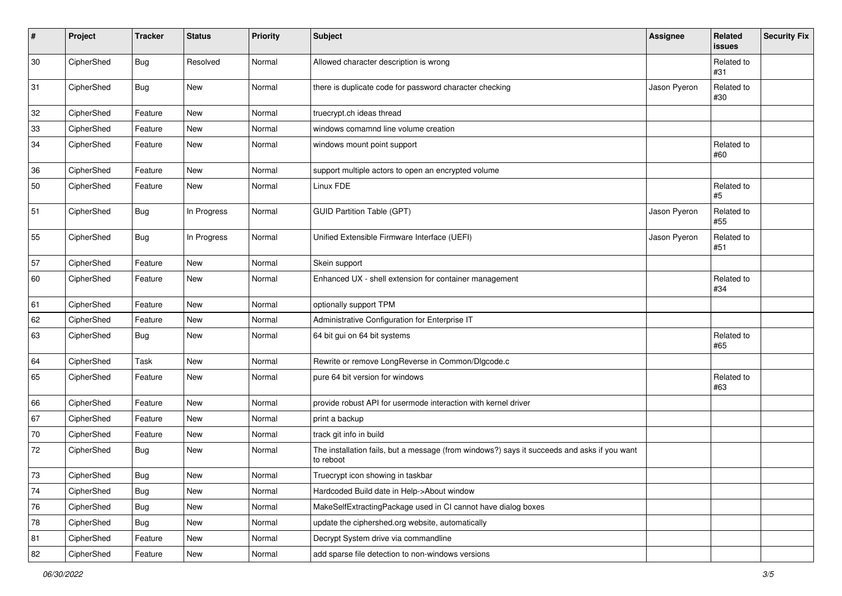| #  | Project    | <b>Tracker</b> | <b>Status</b> | <b>Priority</b> | <b>Subject</b>                                                                                           | Assignee     | Related<br>issues | <b>Security Fix</b> |
|----|------------|----------------|---------------|-----------------|----------------------------------------------------------------------------------------------------------|--------------|-------------------|---------------------|
| 30 | CipherShed | <b>Bug</b>     | Resolved      | Normal          | Allowed character description is wrong                                                                   |              | Related to<br>#31 |                     |
| 31 | CipherShed | <b>Bug</b>     | New           | Normal          | there is duplicate code for password character checking                                                  | Jason Pyeron | Related to<br>#30 |                     |
| 32 | CipherShed | Feature        | New           | Normal          | truecrypt.ch ideas thread                                                                                |              |                   |                     |
| 33 | CipherShed | Feature        | New           | Normal          | windows comamnd line volume creation                                                                     |              |                   |                     |
| 34 | CipherShed | Feature        | New           | Normal          | windows mount point support                                                                              |              | Related to<br>#60 |                     |
| 36 | CipherShed | Feature        | New           | Normal          | support multiple actors to open an encrypted volume                                                      |              |                   |                     |
| 50 | CipherShed | Feature        | New           | Normal          | Linux FDE                                                                                                |              | Related to<br>#5  |                     |
| 51 | CipherShed | <b>Bug</b>     | In Progress   | Normal          | <b>GUID Partition Table (GPT)</b>                                                                        | Jason Pyeron | Related to<br>#55 |                     |
| 55 | CipherShed | Bug            | In Progress   | Normal          | Unified Extensible Firmware Interface (UEFI)                                                             | Jason Pyeron | Related to<br>#51 |                     |
| 57 | CipherShed | Feature        | New           | Normal          | Skein support                                                                                            |              |                   |                     |
| 60 | CipherShed | Feature        | New           | Normal          | Enhanced UX - shell extension for container management                                                   |              | Related to<br>#34 |                     |
| 61 | CipherShed | Feature        | New           | Normal          | optionally support TPM                                                                                   |              |                   |                     |
| 62 | CipherShed | Feature        | New           | Normal          | Administrative Configuration for Enterprise IT                                                           |              |                   |                     |
| 63 | CipherShed | Bug            | New           | Normal          | 64 bit gui on 64 bit systems                                                                             |              | Related to<br>#65 |                     |
| 64 | CipherShed | Task           | New           | Normal          | Rewrite or remove LongReverse in Common/Dlgcode.c                                                        |              |                   |                     |
| 65 | CipherShed | Feature        | New           | Normal          | pure 64 bit version for windows                                                                          |              | Related to<br>#63 |                     |
| 66 | CipherShed | Feature        | New           | Normal          | provide robust API for usermode interaction with kernel driver                                           |              |                   |                     |
| 67 | CipherShed | Feature        | New           | Normal          | print a backup                                                                                           |              |                   |                     |
| 70 | CipherShed | Feature        | New           | Normal          | track git info in build                                                                                  |              |                   |                     |
| 72 | CipherShed | Bug            | New           | Normal          | The installation fails, but a message (from windows?) says it succeeds and asks if you want<br>to reboot |              |                   |                     |
| 73 | CipherShed | Bug            | New           | Normal          | Truecrypt icon showing in taskbar                                                                        |              |                   |                     |
| 74 | CipherShed | <b>Bug</b>     | New           | Normal          | Hardcoded Build date in Help->About window                                                               |              |                   |                     |
| 76 | CipherShed | <b>Bug</b>     | New           | Normal          | MakeSelfExtractingPackage used in CI cannot have dialog boxes                                            |              |                   |                     |
| 78 | CipherShed | <b>Bug</b>     | New           | Normal          | update the ciphershed.org website, automatically                                                         |              |                   |                     |
| 81 | CipherShed | Feature        | New           | Normal          | Decrypt System drive via commandline                                                                     |              |                   |                     |
| 82 | CipherShed | Feature        | New           | Normal          | add sparse file detection to non-windows versions                                                        |              |                   |                     |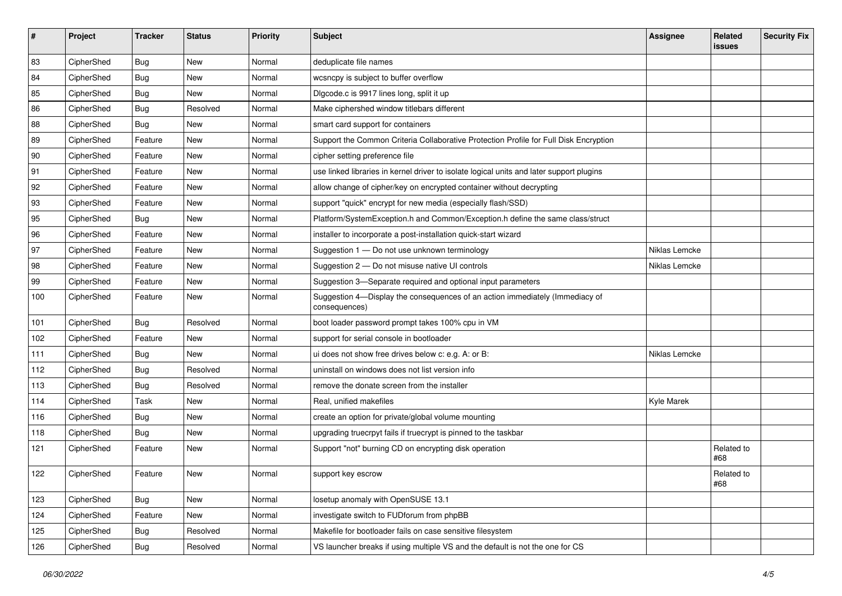| #   | Project    | <b>Tracker</b> | <b>Status</b> | <b>Priority</b> | <b>Subject</b>                                                                                | <b>Assignee</b> | Related<br>issues | <b>Security Fix</b> |
|-----|------------|----------------|---------------|-----------------|-----------------------------------------------------------------------------------------------|-----------------|-------------------|---------------------|
| 83  | CipherShed | <b>Bug</b>     | <b>New</b>    | Normal          | deduplicate file names                                                                        |                 |                   |                     |
| 84  | CipherShed | <b>Bug</b>     | New           | Normal          | wcsncpy is subject to buffer overflow                                                         |                 |                   |                     |
| 85  | CipherShed | <b>Bug</b>     | New           | Normal          | Digcode.c is 9917 lines long, split it up                                                     |                 |                   |                     |
| 86  | CipherShed | <b>Bug</b>     | Resolved      | Normal          | Make ciphershed window titlebars different                                                    |                 |                   |                     |
| 88  | CipherShed | Bug            | New           | Normal          | smart card support for containers                                                             |                 |                   |                     |
| 89  | CipherShed | Feature        | New           | Normal          | Support the Common Criteria Collaborative Protection Profile for Full Disk Encryption         |                 |                   |                     |
| 90  | CipherShed | Feature        | New           | Normal          | cipher setting preference file                                                                |                 |                   |                     |
| 91  | CipherShed | Feature        | New           | Normal          | use linked libraries in kernel driver to isolate logical units and later support plugins      |                 |                   |                     |
| 92  | CipherShed | Feature        | New           | Normal          | allow change of cipher/key on encrypted container without decrypting                          |                 |                   |                     |
| 93  | CipherShed | Feature        | New           | Normal          | support "quick" encrypt for new media (especially flash/SSD)                                  |                 |                   |                     |
| 95  | CipherShed | <b>Bug</b>     | <b>New</b>    | Normal          | Platform/SystemException.h and Common/Exception.h define the same class/struct                |                 |                   |                     |
| 96  | CipherShed | Feature        | New           | Normal          | installer to incorporate a post-installation quick-start wizard                               |                 |                   |                     |
| 97  | CipherShed | Feature        | New           | Normal          | Suggestion 1 - Do not use unknown terminology                                                 | Niklas Lemcke   |                   |                     |
| 98  | CipherShed | Feature        | New           | Normal          | Suggestion 2 - Do not misuse native UI controls                                               | Niklas Lemcke   |                   |                     |
| 99  | CipherShed | Feature        | New           | Normal          | Suggestion 3-Separate required and optional input parameters                                  |                 |                   |                     |
| 100 | CipherShed | Feature        | New           | Normal          | Suggestion 4-Display the consequences of an action immediately (Immediacy of<br>consequences) |                 |                   |                     |
| 101 | CipherShed | Bug            | Resolved      | Normal          | boot loader password prompt takes 100% cpu in VM                                              |                 |                   |                     |
| 102 | CipherShed | Feature        | New           | Normal          | support for serial console in bootloader                                                      |                 |                   |                     |
| 111 | CipherShed | <b>Bug</b>     | New           | Normal          | ui does not show free drives below c: e.g. A: or B:                                           | Niklas Lemcke   |                   |                     |
| 112 | CipherShed | Bug            | Resolved      | Normal          | uninstall on windows does not list version info                                               |                 |                   |                     |
| 113 | CipherShed | <b>Bug</b>     | Resolved      | Normal          | remove the donate screen from the installer                                                   |                 |                   |                     |
| 114 | CipherShed | Task           | <b>New</b>    | Normal          | Real, unified makefiles                                                                       | Kyle Marek      |                   |                     |
| 116 | CipherShed | Bug            | New           | Normal          | create an option for private/global volume mounting                                           |                 |                   |                     |
| 118 | CipherShed | Bug            | New           | Normal          | upgrading truecrpyt fails if truecrypt is pinned to the taskbar                               |                 |                   |                     |
| 121 | CipherShed | Feature        | New           | Normal          | Support "not" burning CD on encrypting disk operation                                         |                 | Related to<br>#68 |                     |
| 122 | CipherShed | Feature        | New           | Normal          | support key escrow                                                                            |                 | Related to<br>#68 |                     |
| 123 | CipherShed | <b>Bug</b>     | New           | Normal          | losetup anomaly with OpenSUSE 13.1                                                            |                 |                   |                     |
| 124 | CipherShed | Feature        | New           | Normal          | investigate switch to FUDforum from phpBB                                                     |                 |                   |                     |
| 125 | CipherShed | Bug            | Resolved      | Normal          | Makefile for bootloader fails on case sensitive filesystem                                    |                 |                   |                     |
| 126 | CipherShed | <b>Bug</b>     | Resolved      | Normal          | VS launcher breaks if using multiple VS and the default is not the one for CS                 |                 |                   |                     |